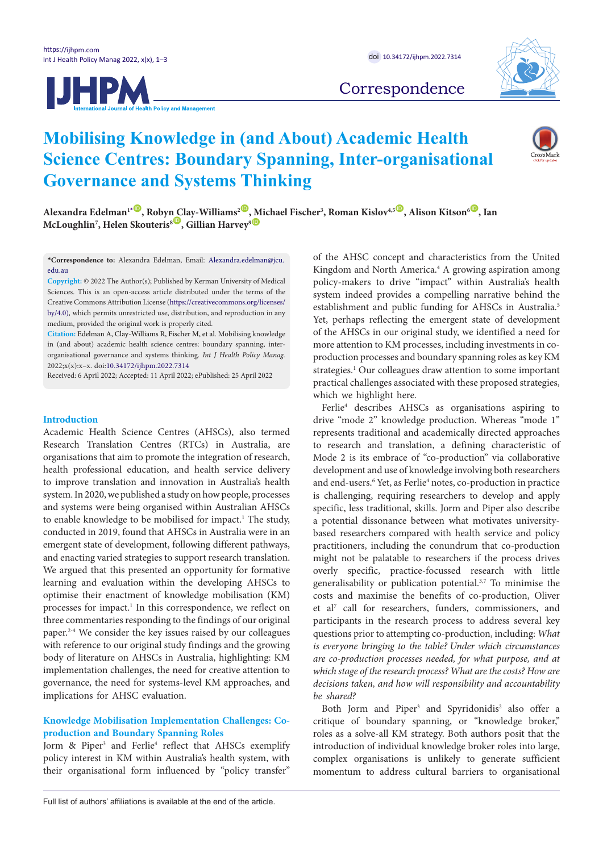



Correspondence

# **Mobilising Knowledge in (and About) Academic Health Science Centres: Boundary Spanning, Inter-organisational Governance and Systems Thinking**



 $A$ lexandra Edelman $1^*$  $1^*$ , Roby[n C](https://orcid.org/0000-0001-9959-5750)lay-Williams<sup>2</sup>[, M](https://orcid.org/0000-0003-0937-7819)ichael Fischer<sup>3</sup>, Roman Kislov $45^\circ$ , Alison Kitson $6^\circ$ , Ian  $\mathbf{McLoughlin}$ <sup>7</sup>, Helen Skouteris $^{\mathbf{s} \mathbf{\mathbf{\mathsf{\mathsf{\mathsf{U}}}}}}$ , Gillian Harvey $^{\mathbf{s} \mathbf{\mathsf{\mathsf{\mathsf{\mathsf{\mathsf{Q}}}}}}$ 

<span id="page-0-0"></span>**\*Correspondence to:** Alexandra Edelman, Email: Alexandra.edelman@jcu. edu.au

**Copyright:** © 2022 The Author(s); Published by Kerman University of Medical Sciences. This is an open-access article distributed under the terms of the Creative Commons Attribution License ([https://creativecommons.org/licenses/](https://creativecommons.org/licenses/by/4.0/) [by/4.0](https://creativecommons.org/licenses/by/4.0/)), which permits unrestricted use, distribution, and reproduction in any medium, provided the original work is properly cited.

**Citation:** Edelman A, Clay-Williams R, Fischer M, et al. Mobilising knowledge in (and about) academic health science centres: boundary spanning, interorganisational governance and systems thinking. *Int J Health Policy Manag.*  2022;x(x):x–x. doi:[10.34172/ijhpm.2022.7314](https://doi.org/10.34172/ijhpm.2022.7314 )

Received: 6 April 2022; Accepted: 11 April 2022; ePublished: 25 April 2022

## **Introduction**

Academic Health Science Centres (AHSCs), also termed Research Translation Centres (RTCs) in Australia, are organisations that aim to promote the integration of research, health professional education, and health service delivery to improve translation and innovation in Australia's health system. In 2020, we published a study on how people, processes and systems were being organised within Australian AHSCs to enable knowledge to be mobilised for impact.<sup>1</sup> The study, conducted in 2019, found that AHSCs in Australia were in an emergent state of development, following different pathways, and enacting varied strategies to support research translation. We argued that this presented an opportunity for formative learning and evaluation within the developing AHSCs to optimise their enactment of knowledge mobilisation (KM) processes for impact.<sup>1</sup> In this correspondence, we reflect on three commentaries responding to the findings of our original paper.2-4 We consider the key issues raised by our colleagues with reference to our original study findings and the growing body of literature on AHSCs in Australia, highlighting: KM implementation challenges, the need for creative attention to governance, the need for systems-level KM approaches, and implications for AHSC evaluation.

## **Knowledge Mobilisation Implementation Challenges: Coproduction and Boundary Spanning Roles**

Jorm & Piper<sup>3</sup> and Ferlie<sup>4</sup> reflect that AHSCs exemplify policy interest in KM within Australia's health system, with their organisational form influenced by "policy transfer"

of the AHSC concept and characteristics from the United Kingdom and North America.<sup>4</sup> A growing aspiration among policy-makers to drive "impact" within Australia's health system indeed provides a compelling narrative behind the establishment and public funding for AHSCs in Australia.<sup>5</sup> Yet, perhaps reflecting the emergent state of development of the AHSCs in our original study, we identified a need for more attention to KM processes, including investments in coproduction processes and boundary spanning roles as key KM strategies.<sup>1</sup> Our colleagues draw attention to some important practical challenges associated with these proposed strategies, which we highlight here.

Ferlie<sup>4</sup> describes AHSCs as organisations aspiring to drive "mode 2" knowledge production. Whereas "mode 1" represents traditional and academically directed approaches to research and translation, a defining characteristic of Mode 2 is its embrace of "co-production" via collaborative development and use of knowledge involving both researchers and end-users.<sup>6</sup> Yet, as Ferlie<sup>4</sup> notes, co-production in practice is challenging, requiring researchers to develop and apply specific, less traditional, skills. Jorm and Piper also describe a potential dissonance between what motivates universitybased researchers compared with health service and policy practitioners, including the conundrum that co-production might not be palatable to researchers if the process drives overly specific, practice-focussed research with little generalisability or publication potential.3,7 To minimise the costs and maximise the benefits of co-production, Oliver et al7 call for researchers, funders, commissioners, and participants in the research process to address several key questions prior to attempting co-production, including: *What is everyone bringing to the table? Under which circumstances are co-production processes needed, for what purpose, and at which stage of the research process? What are the costs? How are decisions taken, and how will responsibility and accountability be shared?*

Both Jorm and Piper<sup>3</sup> and Spyridonidis<sup>2</sup> also offer a critique of boundary spanning, or "knowledge broker," roles as a solve-all KM strategy. Both authors posit that the introduction of individual knowledge broker roles into large, complex organisations is unlikely to generate sufficient momentum to address cultural barriers to organisational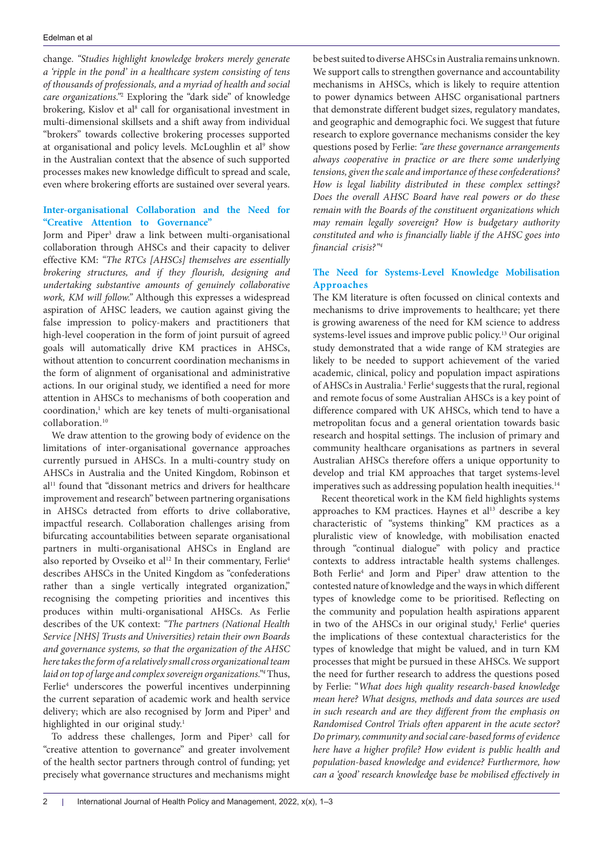change. *"Studies highlight knowledge brokers merely generate a 'ripple in the pond' in a healthcare system consisting of tens of thousands of professionals, and a myriad of health and social care organizations."*<sup>2</sup> Exploring the "dark side" of knowledge brokering, Kislov et al<sup>8</sup> call for organisational investment in multi-dimensional skillsets and a shift away from individual "brokers" towards collective brokering processes supported at organisational and policy levels. McLoughlin et al<sup>9</sup> show in the Australian context that the absence of such supported processes makes new knowledge difficult to spread and scale, even where brokering efforts are sustained over several years.

## **Inter-organisational Collaboration and the Need for "Creative Attention to Governance"**

Jorm and Piper<sup>3</sup> draw a link between multi-organisational collaboration through AHSCs and their capacity to deliver effective KM: *"The RTCs [AHSCs] themselves are essentially brokering structures, and if they flourish, designing and undertaking substantive amounts of genuinely collaborative work, KM will follow."* Although this expresses a widespread aspiration of AHSC leaders, we caution against giving the false impression to policy-makers and practitioners that high-level cooperation in the form of joint pursuit of agreed goals will automatically drive KM practices in AHSCs, without attention to concurrent coordination mechanisms in the form of alignment of organisational and administrative actions. In our original study, we identified a need for more attention in AHSCs to mechanisms of both cooperation and coordination,<sup>1</sup> which are key tenets of multi-organisational collaboration.10

We draw attention to the growing body of evidence on the limitations of inter-organisational governance approaches currently pursued in AHSCs. In a multi-country study on AHSCs in Australia and the United Kingdom, Robinson et al<sup>11</sup> found that "dissonant metrics and drivers for healthcare improvement and research" between partnering organisations in AHSCs detracted from efforts to drive collaborative, impactful research. Collaboration challenges arising from bifurcating accountabilities between separate organisational partners in multi-organisational AHSCs in England are also reported by Ovseiko et al<sup>12</sup> In their commentary, Ferlie<sup>4</sup> describes AHSCs in the United Kingdom as "confederations rather than a single vertically integrated organization," recognising the competing priorities and incentives this produces within multi-organisational AHSCs. As Ferlie describes of the UK context: *"The partners (National Health Service [NHS] Trusts and Universities) retain their own Boards and governance systems, so that the organization of the AHSC here takes the form of a relatively small cross organizational team laid on top of large and complex sovereign organizations."4* Thus, Ferlie<sup>4</sup> underscores the powerful incentives underpinning the current separation of academic work and health service delivery; which are also recognised by Jorm and Piper<sup>3</sup> and highlighted in our original study.<sup>1</sup>

To address these challenges, Jorm and Piper<sup>3</sup> call for "creative attention to governance" and greater involvement of the health sector partners through control of funding; yet precisely what governance structures and mechanisms might

be best suited to diverse AHSCs in Australia remains unknown. We support calls to strengthen governance and accountability mechanisms in AHSCs, which is likely to require attention to power dynamics between AHSC organisational partners that demonstrate different budget sizes, regulatory mandates, and geographic and demographic foci. We suggest that future research to explore governance mechanisms consider the key questions posed by Ferlie: *"are these governance arrangements always cooperative in practice or are there some underlying tensions, given the scale and importance of these confederations? How is legal liability distributed in these complex settings? Does the overall AHSC Board have real powers or do these remain with the Boards of the constituent organizations which may remain legally sovereign? How is budgetary authority constituted and who is financially liable if the AHSC goes into financial crisis?"4*

## **The Need for Systems-Level Knowledge Mobilisation Approaches**

The KM literature is often focussed on clinical contexts and mechanisms to drive improvements to healthcare; yet there is growing awareness of the need for KM science to address systems-level issues and improve public policy.13 Our original study demonstrated that a wide range of KM strategies are likely to be needed to support achievement of the varied academic, clinical, policy and population impact aspirations of AHSCs in Australia.<sup>1</sup> Ferlie<sup>4</sup> suggests that the rural, regional and remote focus of some Australian AHSCs is a key point of difference compared with UK AHSCs, which tend to have a metropolitan focus and a general orientation towards basic research and hospital settings. The inclusion of primary and community healthcare organisations as partners in several Australian AHSCs therefore offers a unique opportunity to develop and trial KM approaches that target systems-level imperatives such as addressing population health inequities.<sup>14</sup>

Recent theoretical work in the KM field highlights systems approaches to KM practices. Haynes et al<sup>13</sup> describe a key characteristic of "systems thinking" KM practices as a pluralistic view of knowledge, with mobilisation enacted through "continual dialogue" with policy and practice contexts to address intractable health systems challenges. Both Ferlie<sup>4</sup> and Jorm and Piper<sup>3</sup> draw attention to the contested nature of knowledge and the ways in which different types of knowledge come to be prioritised. Reflecting on the community and population health aspirations apparent in two of the AHSCs in our original study,<sup>1</sup> Ferlie<sup>4</sup> queries the implications of these contextual characteristics for the types of knowledge that might be valued, and in turn KM processes that might be pursued in these AHSCs. We support the need for further research to address the questions posed by Ferlie: "*What does high quality research-based knowledge mean here? What designs, methods and data sources are used in such research and are they different from the emphasis on Randomised Control Trials often apparent in the acute sector? Do primary, community and social care-based forms of evidence here have a higher profile? How evident is public health and population-based knowledge and evidence? Furthermore, how can a 'good' research knowledge base be mobilised effectively in*